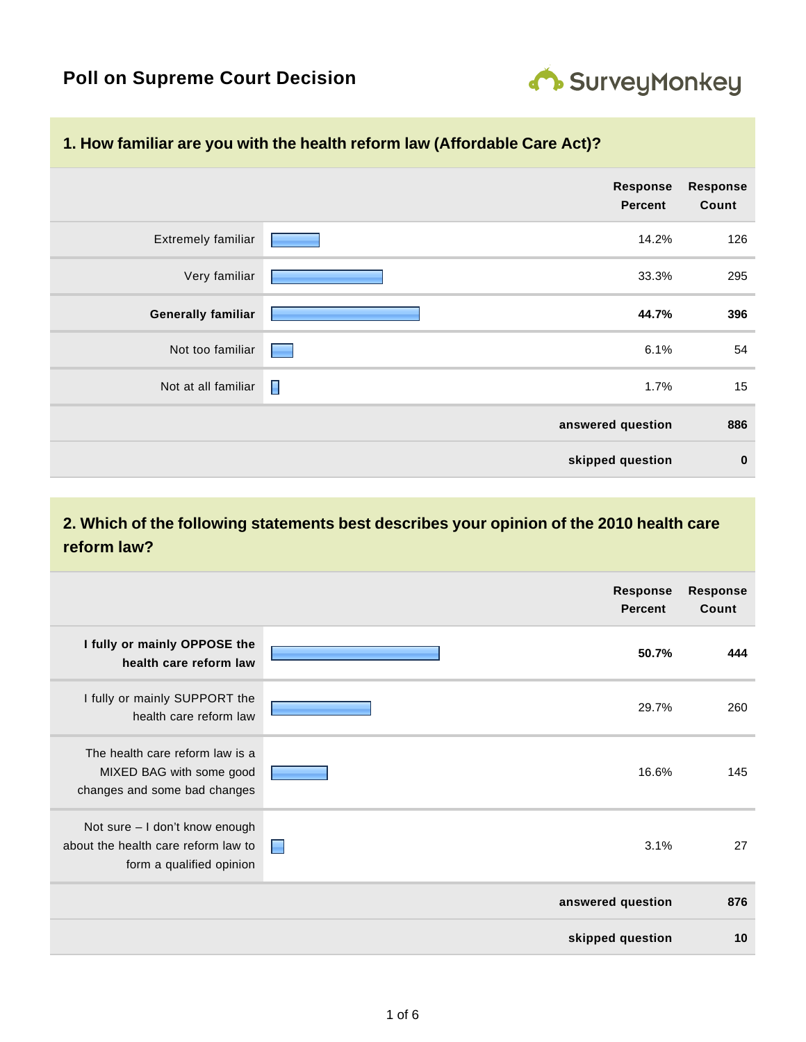

#### **1. How familiar are you with the health reform law (Affordable Care Act)?**

|                           | <b>Response</b><br><b>Percent</b> | <b>Response</b><br>Count |
|---------------------------|-----------------------------------|--------------------------|
| <b>Extremely familiar</b> | 14.2%                             | 126                      |
| Very familiar             | 33.3%                             | 295                      |
| <b>Generally familiar</b> | 44.7%                             | 396                      |
| Not too familiar          | 6.1%<br><b>Participation</b>      | 54                       |
| Not at all familiar       | L<br>1.7%                         | 15                       |
|                           | answered question                 | 886                      |
|                           | skipped question                  | $\bf{0}$                 |

## **2. Which of the following statements best describes your opinion of the 2010 health care reform law?**

|                                                                                                   | <b>Response</b><br><b>Percent</b> | <b>Response</b><br>Count |
|---------------------------------------------------------------------------------------------------|-----------------------------------|--------------------------|
| I fully or mainly OPPOSE the<br>health care reform law                                            | 50.7%                             | 444                      |
| I fully or mainly SUPPORT the<br>health care reform law                                           | 29.7%                             | 260                      |
| The health care reform law is a<br>MIXED BAG with some good<br>changes and some bad changes       | 16.6%                             | 145                      |
| Not sure - I don't know enough<br>about the health care reform law to<br>form a qualified opinion | 3.1%<br>E                         | 27                       |
|                                                                                                   | answered question                 | 876                      |
|                                                                                                   | skipped question                  | 10                       |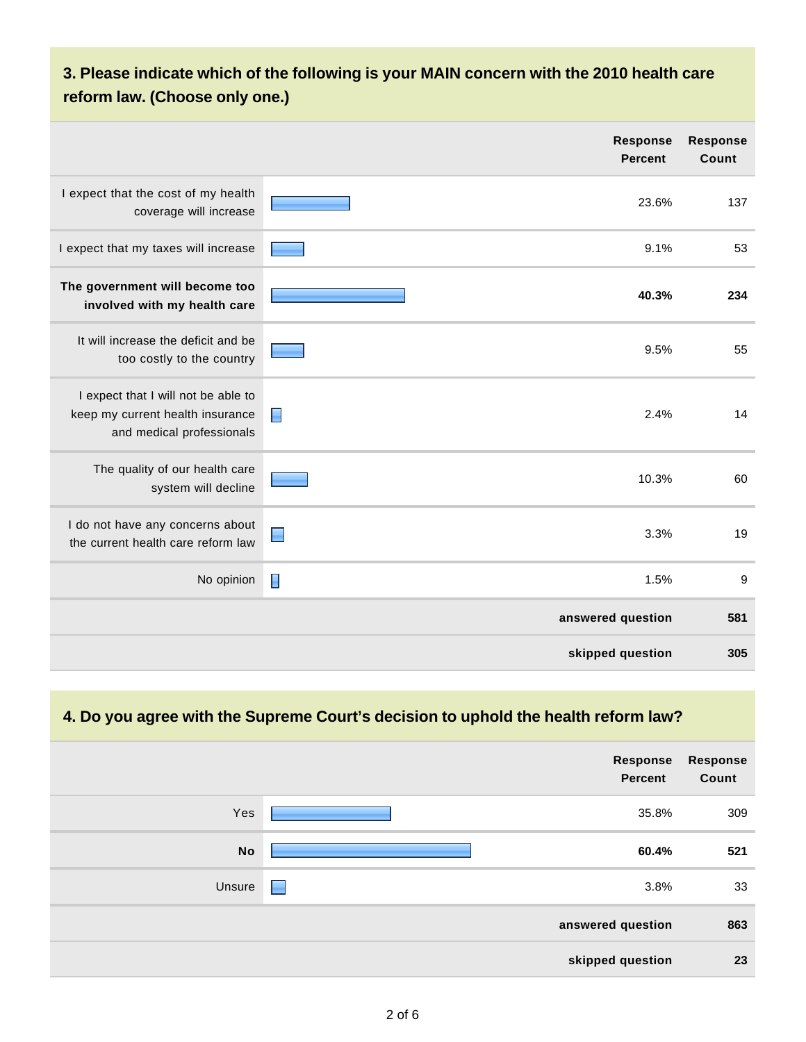# **3. Please indicate which of the following is your MAIN concern with the 2010 health care reform law. (Choose only one.)**

|                                                                                                      | <b>Response</b><br><b>Percent</b> | <b>Response</b><br>Count |
|------------------------------------------------------------------------------------------------------|-----------------------------------|--------------------------|
| I expect that the cost of my health<br>coverage will increase                                        | 23.6%                             | 137                      |
| I expect that my taxes will increase                                                                 | 9.1%                              | 53                       |
| The government will become too<br>involved with my health care                                       | 40.3%                             | 234                      |
| It will increase the deficit and be<br>too costly to the country                                     | 9.5%                              | 55                       |
| I expect that I will not be able to<br>keep my current health insurance<br>and medical professionals | 2.4%<br>П                         | 14                       |
| The quality of our health care<br>system will decline                                                | 10.3%                             | 60                       |
| I do not have any concerns about<br>the current health care reform law                               | 3.3%                              | 19                       |
| No opinion                                                                                           | E<br>1.5%                         | $9\,$                    |
|                                                                                                      | answered question                 | 581                      |
|                                                                                                      | skipped question                  | 305                      |

#### **4. Do you agree with the Supreme Court's decision to uphold the health reform law?**

| <b>Response</b><br>Count | Response<br><b>Percent</b> |           |
|--------------------------|----------------------------|-----------|
| 309                      | 35.8%                      | Yes       |
| 521                      | 60.4%                      | <b>No</b> |
| 33                       | 3.8%<br>E                  | Unsure    |
| 863                      | answered question          |           |
| 23                       | skipped question           |           |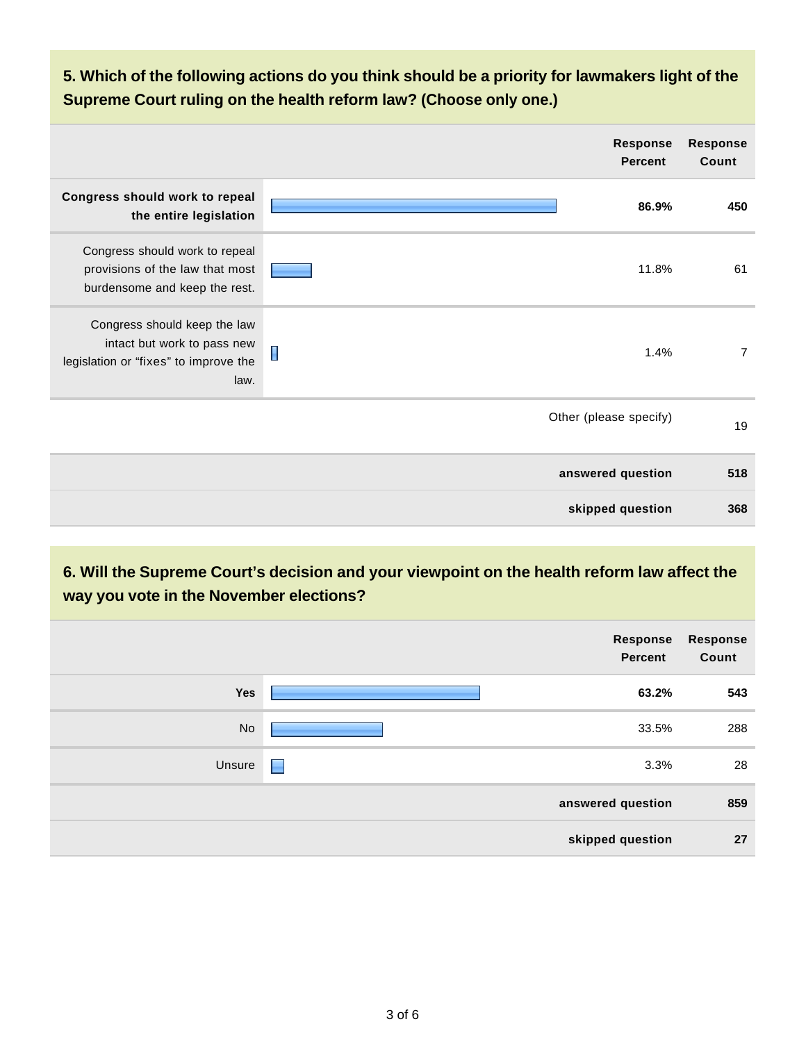**5. Which of the following actions do you think should be a priority for lawmakers light of the Supreme Court ruling on the health reform law? (Choose only one.)**

|                                                                                                              | <b>Response</b><br><b>Percent</b> | <b>Response</b><br>Count |
|--------------------------------------------------------------------------------------------------------------|-----------------------------------|--------------------------|
| Congress should work to repeal<br>the entire legislation                                                     | 86.9%                             | 450                      |
| Congress should work to repeal<br>provisions of the law that most<br>burdensome and keep the rest.           | 11.8%                             | 61                       |
| Congress should keep the law<br>intact but work to pass new<br>legislation or "fixes" to improve the<br>law. | 1.4%                              | $\overline{7}$           |
|                                                                                                              | Other (please specify)            | 19                       |
|                                                                                                              | answered question                 | 518                      |
|                                                                                                              | skipped question                  | 368                      |

### **6. Will the Supreme Court's decision and your viewpoint on the health reform law affect the way you vote in the November elections?**

|        |   | Response<br>Percent | <b>Response</b><br>Count |
|--------|---|---------------------|--------------------------|
| Yes    |   | 63.2%               | 543                      |
| No     |   | 33.5%               | 288                      |
| Unsure | E | 3.3%                | 28                       |
|        |   | answered question   | 859                      |
|        |   | skipped question    | 27                       |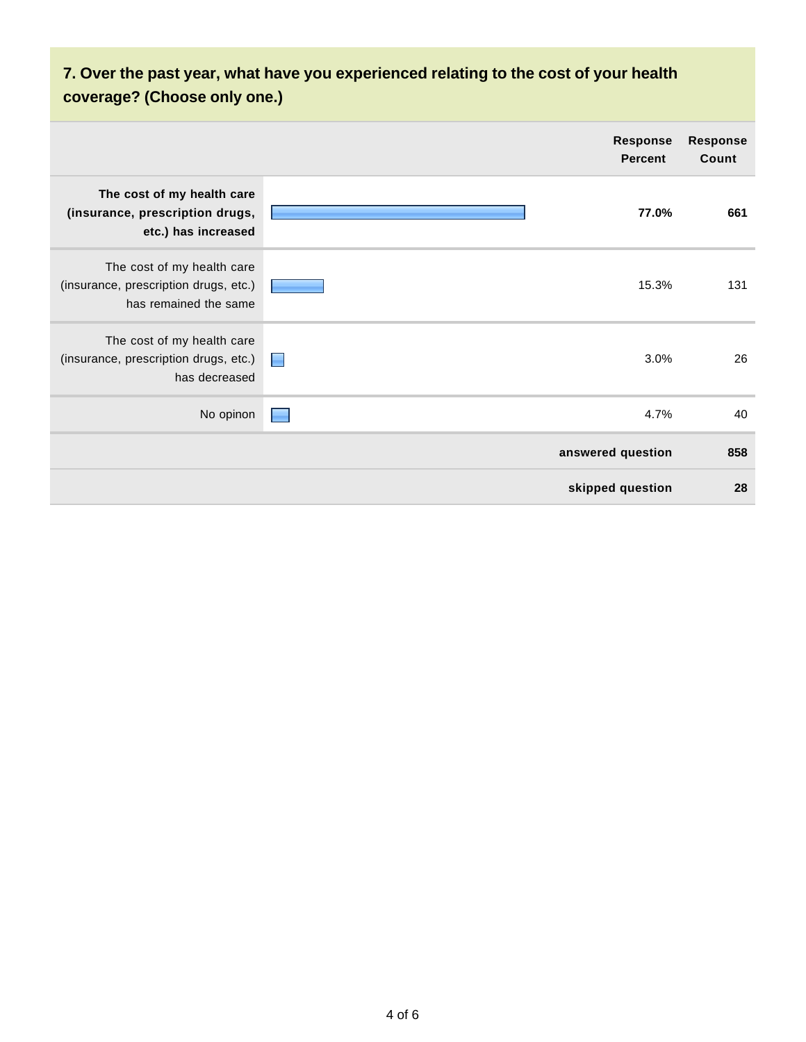# **7. Over the past year, what have you experienced relating to the cost of your health coverage? (Choose only one.)**

|                                                                                              |                          | <b>Response</b><br><b>Percent</b> | <b>Response</b><br>Count |
|----------------------------------------------------------------------------------------------|--------------------------|-----------------------------------|--------------------------|
| The cost of my health care<br>(insurance, prescription drugs,<br>etc.) has increased         |                          | 77.0%                             | 661                      |
| The cost of my health care<br>(insurance, prescription drugs, etc.)<br>has remained the same |                          | 15.3%                             | 131                      |
| The cost of my health care<br>(insurance, prescription drugs, etc.)<br>has decreased         | <b>The Second Second</b> | 3.0%                              | 26                       |
| No opinon                                                                                    |                          | 4.7%                              | 40                       |
|                                                                                              |                          | answered question                 | 858                      |
|                                                                                              |                          | skipped question                  | 28                       |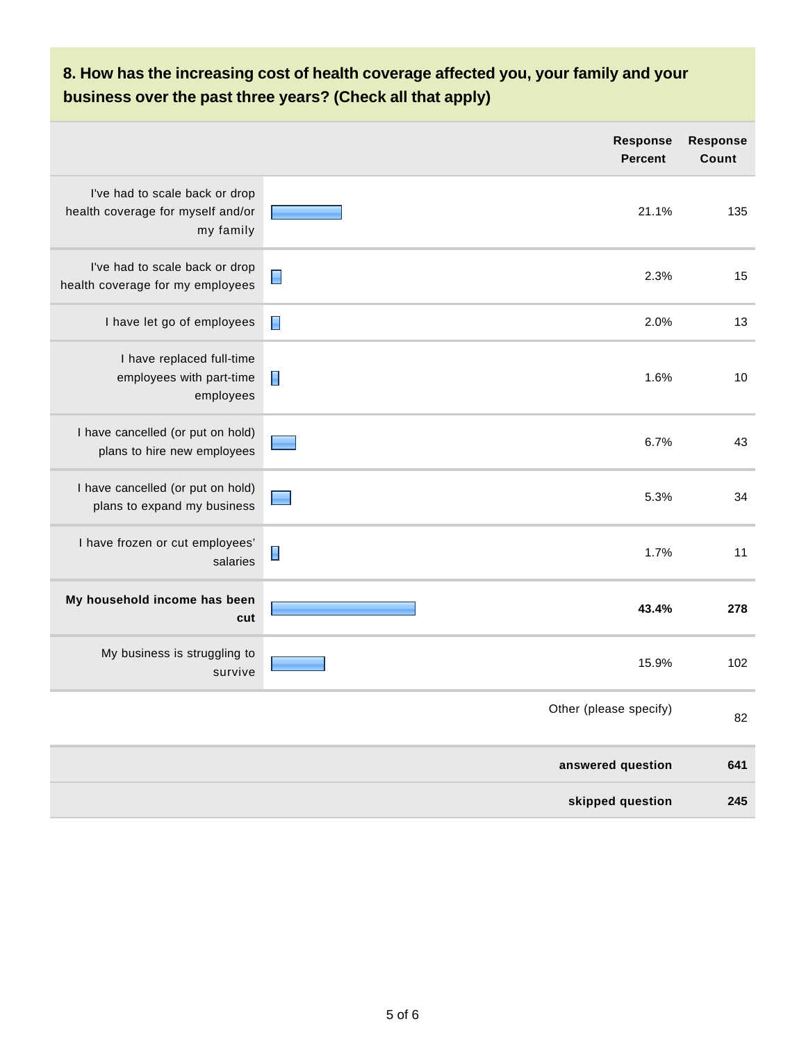# **8. How has the increasing cost of health coverage affected you, your family and your business over the past three years? (Check all that apply)**

|                                                                                  | <b>Response</b><br><b>Percent</b> | <b>Response</b><br>Count |
|----------------------------------------------------------------------------------|-----------------------------------|--------------------------|
| I've had to scale back or drop<br>health coverage for myself and/or<br>my family | 21.1%                             | 135                      |
| I've had to scale back or drop<br>health coverage for my employees               | $\blacksquare$<br>2.3%            | 15                       |
| I have let go of employees                                                       | $\blacksquare$<br>2.0%            | 13                       |
| I have replaced full-time<br>employees with part-time<br>employees               | 1.6%<br>$\blacksquare$            | 10                       |
| I have cancelled (or put on hold)<br>plans to hire new employees                 | 6.7%                              | 43                       |
| I have cancelled (or put on hold)<br>plans to expand my business                 | 5.3%                              | 34                       |
| I have frozen or cut employees'<br>salaries                                      | H<br>1.7%                         | 11                       |
| My household income has been<br>cut                                              | 43.4%                             | 278                      |
| My business is struggling to<br>survive                                          | 15.9%                             | 102                      |
|                                                                                  | Other (please specify)            | 82                       |
|                                                                                  | answered question                 | 641                      |
|                                                                                  | skipped question                  | 245                      |